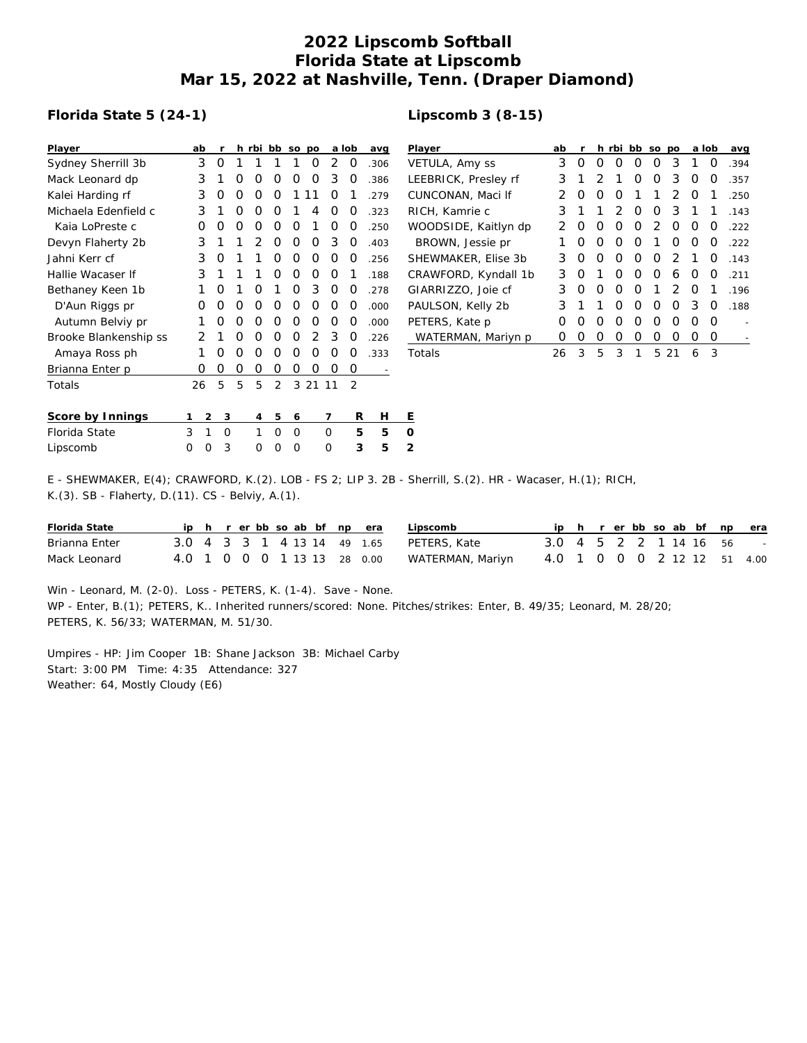## **2022 Lipscomb Softball Florida State at Lipscomb Mar 15, 2022 at Nashville, Tenn. (Draper Diamond)**

#### **Florida State 5 (24-1)**

| Player                |   | ab       | r |   | h rbi | bb             | SO | po    |          | a lob          | avg  | $\overline{P}$ |
|-----------------------|---|----------|---|---|-------|----------------|----|-------|----------|----------------|------|----------------|
| Sydney Sherrill 3b    |   | 3        | ∩ | 1 | 1     | 1              | 1  | Ω     | 2        | 0              | .306 | V              |
| Mack Leonard dp       |   | 3        | 1 | O | Ω     | Ο              | Ο  | Ο     | 3        | O              | .386 | L              |
| Kalei Harding rf      |   | 3        | Ω | Ω | Ω     | O              | 1  | 11    | O        | 1              | .279 | C              |
| Michaela Edenfield c  |   | 3        | 1 | Ω | Ω     | O              | 1  | 4     | 0        | 0              | .323 | R              |
| Kaia LoPreste c       |   | O        | O | 0 | 0     | 0              | Ο  | 1     | 0        | 0              | .250 | W              |
| Devyn Flaherty 2b     |   | 3        | 1 | 1 | 2     | O              | Ο  | O     | 3        | 0              | .403 |                |
| Jahni Kerr cf         |   | 3        | Ω | 1 | 1     | O              | Ο  | Ο     | O        | O              | .256 | S              |
| Hallie Wacaser If     |   | 3        | 1 | 1 | 1     | O              | Ο  | Ο     | O        | 1              | .188 | С              |
| Bethaney Keen 1b      |   | 1        | O | 1 | Ω     | 1              | Ο  | 3     | 0        | 0              | .278 | G              |
| D'Aun Riggs pr        |   | Ο        | ∩ | 0 | O     | O              | Ο  | O     | O        | O              | .000 | P              |
| Autumn Belviy pr      |   | 1        | Ω | O | Ω     | O              | Ο  | O     | O        | O              | .000 | P              |
| Brooke Blankenship ss |   | 2        | 1 | O | Ω     | O              | Ο  | 2     | 3        | O              | .226 |                |
| Amaya Ross ph         |   | 1        | ∩ | Ω | Ω     | O              | Ο  | Ω     | $\Omega$ | O              | .333 | Τ              |
| Brianna Enter p       |   | Ω        | Ο | Ο | Ο     | Ο              | Ο  | 0     | 0        | 0              |      |                |
| Totals                |   | 26       | 5 | 5 | 5     | $\overline{2}$ |    | 3 2 1 | -11      | $\overline{2}$ |      |                |
| Score by Innings      | 1 | 2        | 3 |   | 4     | 5              | 6  |       | 7        | R              | Н    | Ε              |
| Florida State         | 3 | 1        | O |   | 1     | $\Omega$       | O  |       | O        | 5              | 5    | O              |
| Lipscomb              | O | $\Omega$ | 3 |   | Ω     | O              | Ω  |       | Ω        | 3              | 5    | $\overline{2}$ |

| Lipscomb 3 (8-15) |  |
|-------------------|--|
|-------------------|--|

| Player               | ab               | r |   | h rbi            | bb so |          | po |          | a lob | avg  |
|----------------------|------------------|---|---|------------------|-------|----------|----|----------|-------|------|
| VETULA, Amy ss       | 3                | O | Ω | $\left( \right)$ | O     | O        | 3  | 1        | O     | .394 |
| LEEBRICK, Presley rf | 3                | 1 | 2 | 1                | Ο     | O        | 3  | O        | O     | .357 |
| CUNCONAN, Maci If    | 2                | Ω | O | 0                | 1     | 1        | 2  | O        | 1     | .250 |
| RICH, Kamrie c       | 3                | 1 | 1 | $\mathcal{P}$    | Ο     | O        | 3  | 1        | 1     | .143 |
| WOODSIDE, Kaitlyn dp | 2                | Ω | O | Ω                | Ω     | 2        | Ο  | O        | O     | .222 |
| BROWN, Jessie pr     | 1                | Ω | O | 0                | Ω     | 1        | O  | $\Omega$ | O     | .222 |
| SHEWMAKER, Elise 3b  | 3                | Ω | O | Ω                | Ω     | O        | 2  | 1        | 0     | .143 |
| CRAWFORD, Kyndall 1b | 3                | O | 1 | O                | Ω     | $\Omega$ | 6  | O        | O     | .211 |
| GIARRIZZO, Joie cf   | 3                | Ω | O | Ω                | Ω     | 1        | 2  | $\Omega$ | 1     | .196 |
| PAULSON, Kelly 2b    | 3                | 1 | 1 | O                | Ω     | O        | Ω  | 3        | O     | .188 |
| PETERS, Kate p       | Ω                | Ω | O | Ω                | Ω     | O        | Ω  | O        | O     |      |
| WATERMAN, Mariyn p   | $\left( \right)$ | Ω | Ο | Ο                | Ο     | 0        | 0  | O        | 0     |      |
| Totals               | 26               | 3 | 5 | 3                | 1     | 5        | 21 | 6        | 3     |      |
|                      |                  |   |   |                  |       |          |    |          |       |      |

E - SHEWMAKER, E(4); CRAWFORD, K.(2). LOB - FS 2; LIP 3. 2B - Sherrill, S.(2). HR - Wacaser, H.(1); RICH, K.(3). SB - Flaherty, D.(11). CS - Belviy, A.(1).

| Florida State |  |  |  |  | ip h r er bb so ab bf np era | Lipscomb         |                             |  |  |  |  | ip h r er bb so ab bf np era |
|---------------|--|--|--|--|------------------------------|------------------|-----------------------------|--|--|--|--|------------------------------|
| Brianna Enter |  |  |  |  | 3.0 4 3 3 1 4 13 14 49 1.65  | PETERS, Kate     | 3.0 4 5 2 2 1 14 16 56 -    |  |  |  |  |                              |
| Mack Leonard  |  |  |  |  | 4.0 1 0 0 0 1 13 13 28 0.00  | WATERMAN, Mariyn | 4.0 1 0 0 0 2 12 12 51 4.00 |  |  |  |  |                              |

Win - Leonard, M. (2-0). Loss - PETERS, K. (1-4). Save - None.

WP - Enter, B.(1); PETERS, K.. Inherited runners/scored: None. Pitches/strikes: Enter, B. 49/35; Leonard, M. 28/20; PETERS, K. 56/33; WATERMAN, M. 51/30.

Umpires - HP: Jim Cooper 1B: Shane Jackson 3B: Michael Carby Start: 3:00 PM Time: 4:35 Attendance: 327 Weather: 64, Mostly Cloudy (E6)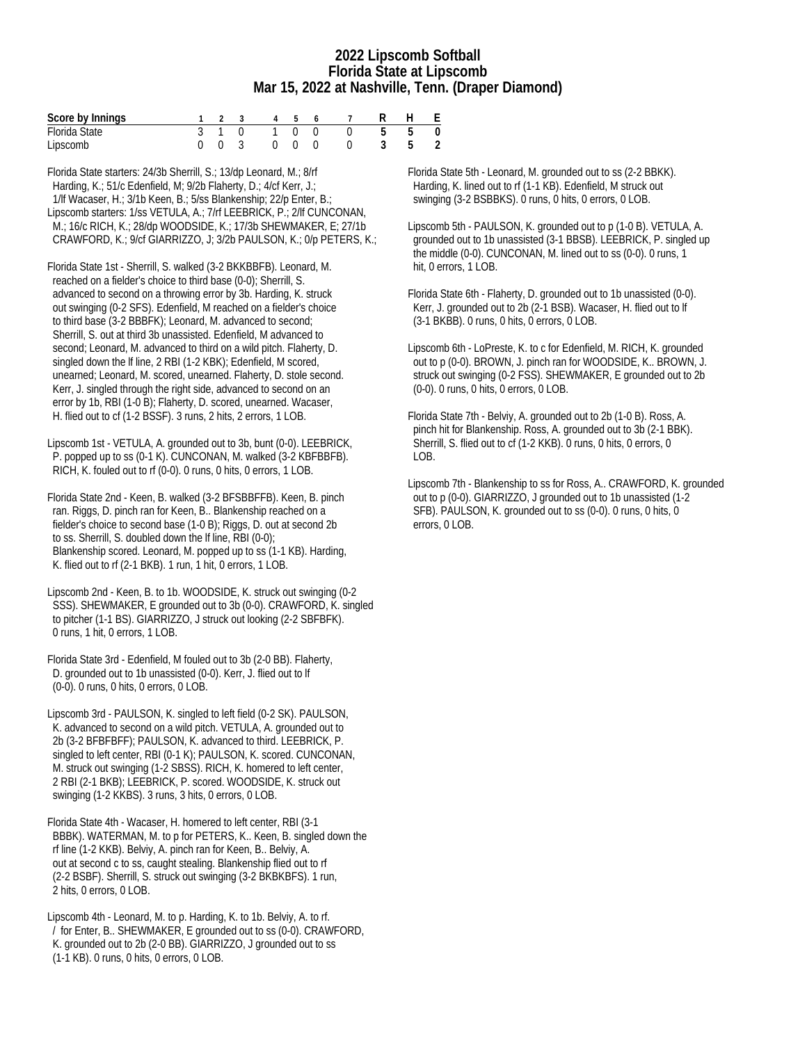#### **2022 Lipscomb Softball Florida State at Lipscomb Mar 15, 2022 at Nashville, Tenn. (Draper Diamond)**

| Score by Innings |  |  |  | 1 2 3 4 5 6 7 R H E |  |
|------------------|--|--|--|---------------------|--|
| Florida State    |  |  |  | 3 1 0 1 0 0 0 5 5 0 |  |
| Lipscomb         |  |  |  | 0 0 3 0 0 0 0 3 5 2 |  |

Florida State starters: 24/3b Sherrill, S.; 13/dp Leonard, M.; 8/rf Harding, K.; 51/c Edenfield, M; 9/2b Flaherty, D.; 4/cf Kerr, J.; 1/lf Wacaser, H.; 3/1b Keen, B.; 5/ss Blankenship; 22/p Enter, B.; Lipscomb starters: 1/ss VETULA, A.; 7/rf LEEBRICK, P.; 2/lf CUNCONAN, M.; 16/c RICH, K.; 28/dp WOODSIDE, K.; 17/3b SHEWMAKER, E; 27/1b CRAWFORD, K.; 9/cf GIARRIZZO, J; 3/2b PAULSON, K.; 0/p PETERS, K.;

Florida State 1st - Sherrill, S. walked (3-2 BKKBBFB). Leonard, M. reached on a fielder's choice to third base (0-0); Sherrill, S. advanced to second on a throwing error by 3b. Harding, K. struck out swinging (0-2 SFS). Edenfield, M reached on a fielder's choice to third base (3-2 BBBFK); Leonard, M. advanced to second; Sherrill, S. out at third 3b unassisted. Edenfield, M advanced to second; Leonard, M. advanced to third on a wild pitch. Flaherty, D. singled down the lf line, 2 RBI (1-2 KBK); Edenfield, M scored, unearned; Leonard, M. scored, unearned. Flaherty, D. stole second. Kerr, J. singled through the right side, advanced to second on an error by 1b, RBI (1-0 B); Flaherty, D. scored, unearned. Wacaser, H. flied out to cf (1-2 BSSF). 3 runs, 2 hits, 2 errors, 1 LOB.

Lipscomb 1st - VETULA, A. grounded out to 3b, bunt (0-0). LEEBRICK, P. popped up to ss (0-1 K). CUNCONAN, M. walked (3-2 KBFBBFB). RICH, K. fouled out to rf (0-0). 0 runs, 0 hits, 0 errors, 1 LOB.

Florida State 2nd - Keen, B. walked (3-2 BFSBBFFB). Keen, B. pinch ran. Riggs, D. pinch ran for Keen, B.. Blankenship reached on a fielder's choice to second base (1-0 B); Riggs, D. out at second 2b to ss. Sherrill, S. doubled down the lf line, RBI (0-0); Blankenship scored. Leonard, M. popped up to ss (1-1 KB). Harding, K. flied out to rf (2-1 BKB). 1 run, 1 hit, 0 errors, 1 LOB.

Lipscomb 2nd - Keen, B. to 1b. WOODSIDE, K. struck out swinging (0-2 SSS). SHEWMAKER, E grounded out to 3b (0-0). CRAWFORD, K. singled to pitcher (1-1 BS). GIARRIZZO, J struck out looking (2-2 SBFBFK). 0 runs, 1 hit, 0 errors, 1 LOB.

Florida State 3rd - Edenfield, M fouled out to 3b (2-0 BB). Flaherty, D. grounded out to 1b unassisted (0-0). Kerr, J. flied out to lf (0-0). 0 runs, 0 hits, 0 errors, 0 LOB.

Lipscomb 3rd - PAULSON, K. singled to left field (0-2 SK). PAULSON, K. advanced to second on a wild pitch. VETULA, A. grounded out to 2b (3-2 BFBFBFF); PAULSON, K. advanced to third. LEEBRICK, P. singled to left center, RBI (0-1 K); PAULSON, K. scored. CUNCONAN, M. struck out swinging (1-2 SBSS). RICH, K. homered to left center, 2 RBI (2-1 BKB); LEEBRICK, P. scored. WOODSIDE, K. struck out swinging (1-2 KKBS). 3 runs, 3 hits, 0 errors, 0 LOB.

Florida State 4th - Wacaser, H. homered to left center, RBI (3-1 BBBK). WATERMAN, M. to p for PETERS, K.. Keen, B. singled down the rf line (1-2 KKB). Belviy, A. pinch ran for Keen, B.. Belviy, A. out at second c to ss, caught stealing. Blankenship flied out to rf (2-2 BSBF). Sherrill, S. struck out swinging (3-2 BKBKBFS). 1 run, 2 hits, 0 errors, 0 LOB.

Lipscomb 4th - Leonard, M. to p. Harding, K. to 1b. Belviy, A. to rf. / for Enter, B.. SHEWMAKER, E grounded out to ss (0-0). CRAWFORD, K. grounded out to 2b (2-0 BB). GIARRIZZO, J grounded out to ss (1-1 KB). 0 runs, 0 hits, 0 errors, 0 LOB.

Florida State 5th - Leonard, M. grounded out to ss (2-2 BBKK). Harding, K. lined out to rf (1-1 KB). Edenfield, M struck out swinging (3-2 BSBBKS). 0 runs, 0 hits, 0 errors, 0 LOB.

Lipscomb 5th - PAULSON, K. grounded out to p (1-0 B). VETULA, A. grounded out to 1b unassisted (3-1 BBSB). LEEBRICK, P. singled up the middle (0-0). CUNCONAN, M. lined out to ss (0-0). 0 runs, 1 hit, 0 errors, 1 LOB.

Florida State 6th - Flaherty, D. grounded out to 1b unassisted (0-0). Kerr, J. grounded out to 2b (2-1 BSB). Wacaser, H. flied out to lf (3-1 BKBB). 0 runs, 0 hits, 0 errors, 0 LOB.

Lipscomb 6th - LoPreste, K. to c for Edenfield, M. RICH, K. grounded out to p (0-0). BROWN, J. pinch ran for WOODSIDE, K.. BROWN, J. struck out swinging (0-2 FSS). SHEWMAKER, E grounded out to 2b (0-0). 0 runs, 0 hits, 0 errors, 0 LOB.

Florida State 7th - Belviy, A. grounded out to 2b (1-0 B). Ross, A. pinch hit for Blankenship. Ross, A. grounded out to 3b (2-1 BBK). Sherrill, S. flied out to cf (1-2 KKB). 0 runs, 0 hits, 0 errors, 0  $LOB.$ 

Lipscomb 7th - Blankenship to ss for Ross, A.. CRAWFORD, K. grounded out to p (0-0). GIARRIZZO, J grounded out to 1b unassisted (1-2 SFB). PAULSON, K. grounded out to ss (0-0). 0 runs, 0 hits, 0 errors, 0 LOB.